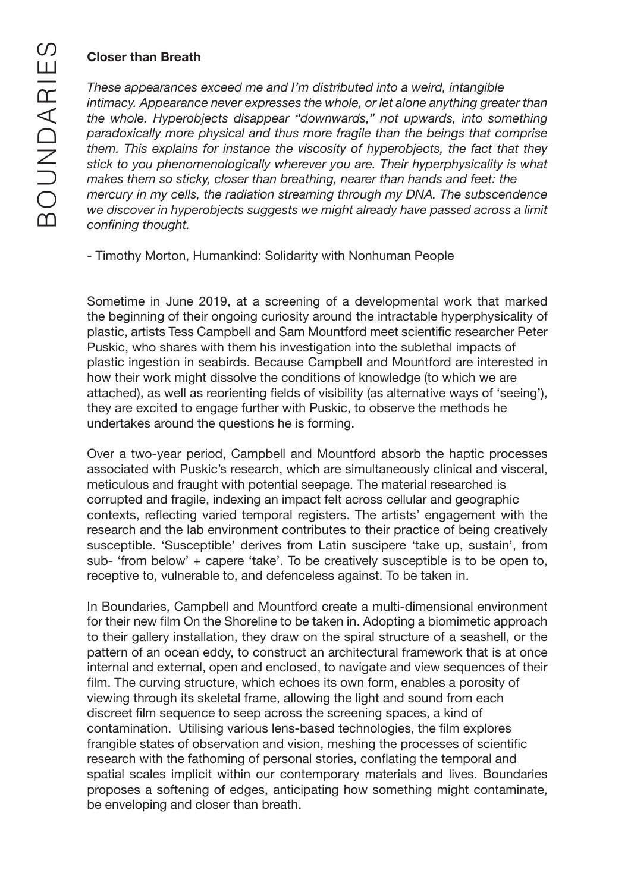## **Closer than Breath**

*These appearances exceed me and I'm distributed into a weird, intangible intimacy. Appearance never expresses the whole, or let alone anything greater than the whole. Hyperobjects disappear "downwards," not upwards, into something paradoxically more physical and thus more fragile than the beings that comprise them. This explains for instance the viscosity of hyperobjects, the fact that they stick to you phenomenologically wherever you are. Their hyperphysicality is what makes them so sticky, closer than breathing, nearer than hands and feet: the mercury in my cells, the radiation streaming through my DNA. The subscendence we discover in hyperobjects suggests we might already have passed across a limit confining thought.*

- Timothy Morton, Humankind: Solidarity with Nonhuman People

Sometime in June 2019, at a screening of a developmental work that marked the beginning of their ongoing curiosity around the intractable hyperphysicality of plastic, artists Tess Campbell and Sam Mountford meet scientific researcher Peter Puskic, who shares with them his investigation into the sublethal impacts of plastic ingestion in seabirds. Because Campbell and Mountford are interested in how their work might dissolve the conditions of knowledge (to which we are attached), as well as reorienting fields of visibility (as alternative ways of 'seeing'), they are excited to engage further with Puskic, to observe the methods he undertakes around the questions he is forming.

Over a two-year period, Campbell and Mountford absorb the haptic processes associated with Puskic's research, which are simultaneously clinical and visceral, meticulous and fraught with potential seepage. The material researched is corrupted and fragile, indexing an impact felt across cellular and geographic contexts, reflecting varied temporal registers. The artists' engagement with the research and the lab environment contributes to their practice of being creatively susceptible. 'Susceptible' derives from Latin suscipere 'take up, sustain', from sub- 'from below' + capere 'take'. To be creatively susceptible is to be open to, receptive to, vulnerable to, and defenceless against. To be taken in.

In Boundaries, Campbell and Mountford create a multi-dimensional environment for their new film On the Shoreline to be taken in. Adopting a biomimetic approach to their gallery installation, they draw on the spiral structure of a seashell, or the pattern of an ocean eddy, to construct an architectural framework that is at once internal and external, open and enclosed, to navigate and view sequences of their film. The curving structure, which echoes its own form, enables a porosity of viewing through its skeletal frame, allowing the light and sound from each discreet film sequence to seep across the screening spaces, a kind of contamination. Utilising various lens-based technologies, the film explores frangible states of observation and vision, meshing the processes of scientific research with the fathoming of personal stories, conflating the temporal and spatial scales implicit within our contemporary materials and lives. Boundaries proposes a softening of edges, anticipating how something might contaminate, be enveloping and closer than breath.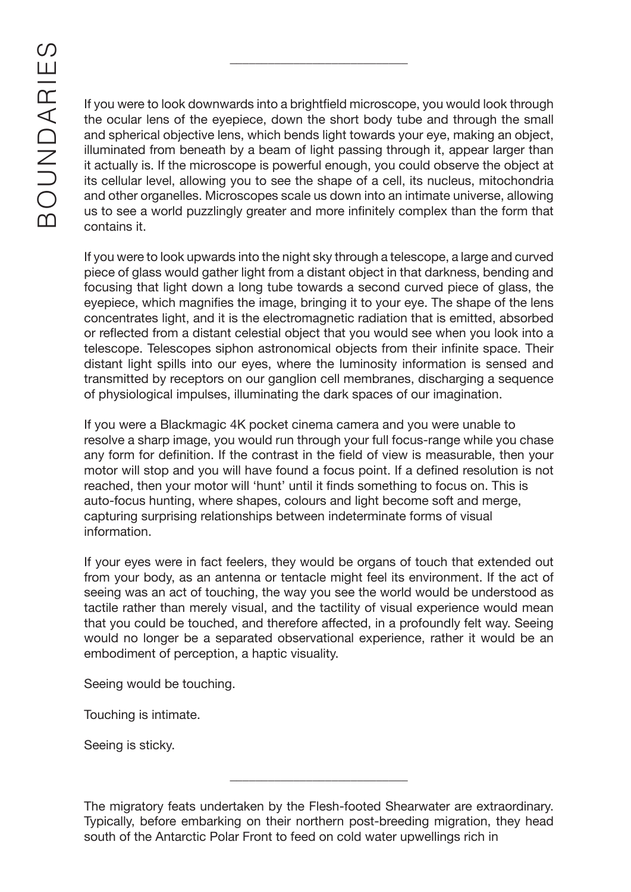If you were to look downwards into a brightfield microscope, you would look through the ocular lens of the eyepiece, down the short body tube and through the small and spherical objective lens, which bends light towards your eye, making an object, illuminated from beneath by a beam of light passing through it, appear larger than it actually is. If the microscope is powerful enough, you could observe the object at its cellular level, allowing you to see the shape of a cell, its nucleus, mitochondria and other organelles. Microscopes scale us down into an intimate universe, allowing us to see a world puzzlingly greater and more infinitely complex than the form that contains it.

\_\_\_\_\_\_\_\_\_\_\_\_\_\_\_\_\_\_\_\_\_\_\_\_\_\_\_\_

If you were to look upwards into the night sky through a telescope, a large and curved piece of glass would gather light from a distant object in that darkness, bending and focusing that light down a long tube towards a second curved piece of glass, the eyepiece, which magnifies the image, bringing it to your eye. The shape of the lens concentrates light, and it is the electromagnetic radiation that is emitted, absorbed or reflected from a distant celestial object that you would see when you look into a telescope. Telescopes siphon astronomical objects from their infinite space. Their distant light spills into our eyes, where the luminosity information is sensed and transmitted by receptors on our ganglion cell membranes, discharging a sequence of physiological impulses, illuminating the dark spaces of our imagination.

If you were a Blackmagic 4K pocket cinema camera and you were unable to resolve a sharp image, you would run through your full focus-range while you chase any form for definition. If the contrast in the field of view is measurable, then your motor will stop and you will have found a focus point. If a defined resolution is not reached, then your motor will 'hunt' until it finds something to focus on. This is auto-focus hunting, where shapes, colours and light become soft and merge, capturing surprising relationships between indeterminate forms of visual information.

If your eyes were in fact feelers, they would be organs of touch that extended out from your body, as an antenna or tentacle might feel its environment. If the act of seeing was an act of touching, the way you see the world would be understood as tactile rather than merely visual, and the tactility of visual experience would mean that you could be touched, and therefore affected, in a profoundly felt way. Seeing would no longer be a separated observational experience, rather it would be an embodiment of perception, a haptic visuality.

Seeing would be touching.

Touching is intimate.

Seeing is sticky.

\_\_\_\_\_\_\_\_\_\_\_\_\_\_\_\_\_\_\_\_\_\_\_\_\_\_\_\_

The migratory feats undertaken by the Flesh-footed Shearwater are extraordinary. Typically, before embarking on their northern post-breeding migration, they head south of the Antarctic Polar Front to feed on cold water upwellings rich in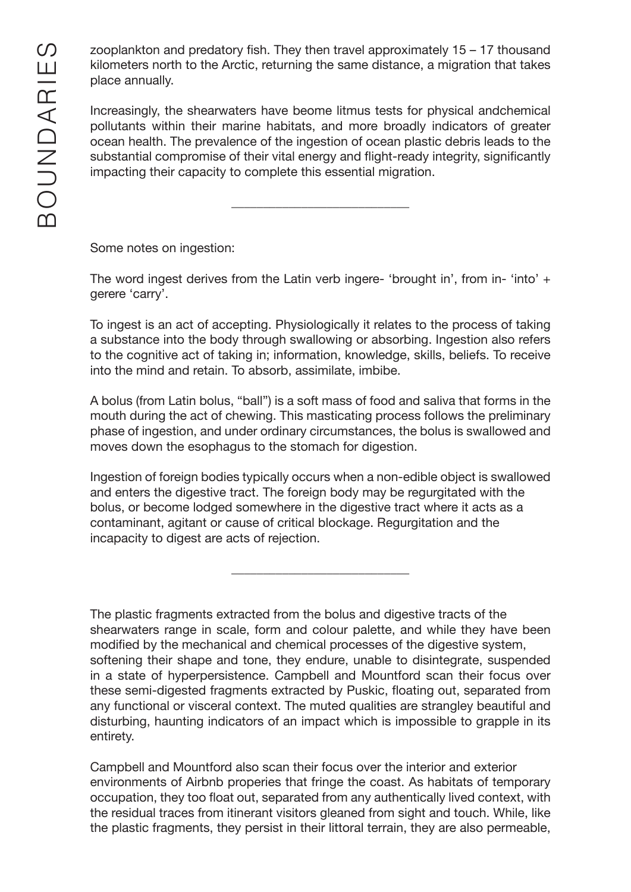zooplankton and predatory fish. They then travel approximately 15 – 17 thousand kilometers north to the Arctic, returning the same distance, a migration that takes place annually.

Increasingly, the shearwaters have beome litmus tests for physical andchemical pollutants within their marine habitats, and more broadly indicators of greater ocean health. The prevalence of the ingestion of ocean plastic debris leads to the substantial compromise of their vital energy and flight-ready integrity, significantly impacting their capacity to complete this essential migration.

\_\_\_\_\_\_\_\_\_\_\_\_\_\_\_\_\_\_\_\_\_\_\_\_\_\_\_\_

Some notes on ingestion:

The word ingest derives from the Latin verb ingere- 'brought in', from in- 'into' + gerere 'carry'.

To ingest is an act of accepting. Physiologically it relates to the process of taking a substance into the body through swallowing or absorbing. Ingestion also refers to the cognitive act of taking in; information, knowledge, skills, beliefs. To receive into the mind and retain. To absorb, assimilate, imbibe.

A bolus (from Latin bolus, "ball") is a soft mass of food and saliva that forms in the mouth during the act of chewing. This masticating process follows the preliminary phase of ingestion, and under ordinary circumstances, the bolus is swallowed and moves down the esophagus to the stomach for digestion.

Ingestion of foreign bodies typically occurs when a non-edible object is swallowed and enters the digestive tract. The foreign body may be regurgitated with the bolus, or become lodged somewhere in the digestive tract where it acts as a contaminant, agitant or cause of critical blockage. Regurgitation and the incapacity to digest are acts of rejection.

\_\_\_\_\_\_\_\_\_\_\_\_\_\_\_\_\_\_\_\_\_\_\_\_\_\_\_\_

The plastic fragments extracted from the bolus and digestive tracts of the shearwaters range in scale, form and colour palette, and while they have been modified by the mechanical and chemical processes of the digestive system, softening their shape and tone, they endure, unable to disintegrate, suspended in a state of hyperpersistence. Campbell and Mountford scan their focus over these semi-digested fragments extracted by Puskic, floating out, separated from any functional or visceral context. The muted qualities are strangley beautiful and disturbing, haunting indicators of an impact which is impossible to grapple in its entirety.

Campbell and Mountford also scan their focus over the interior and exterior environments of Airbnb properies that fringe the coast. As habitats of temporary occupation, they too float out, separated from any authentically lived context, with the residual traces from itinerant visitors gleaned from sight and touch. While, like the plastic fragments, they persist in their littoral terrain, they are also permeable,